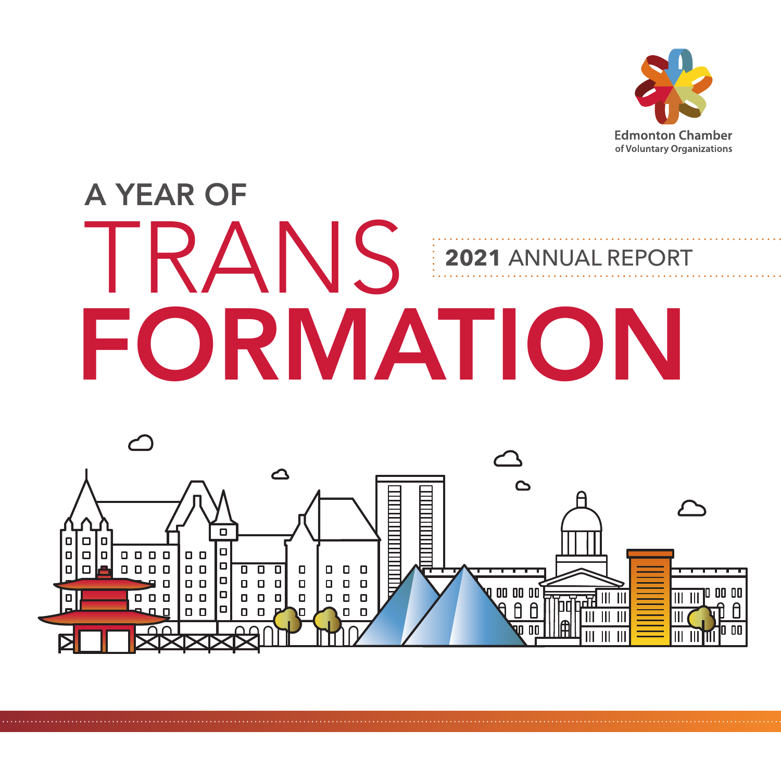

# A YEAR OF TRANS FORMATION **2021** ANNUAL REPORT

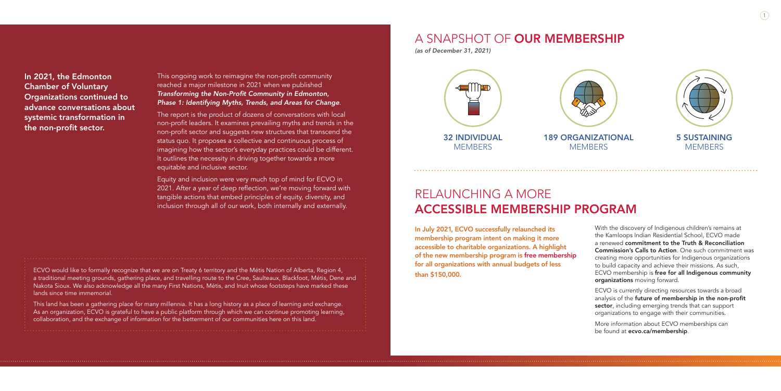1

This ongoing work to reimagine the non-profit community reached a major milestone in 2021 when we published *Transforming the Non-Profit Community in Edmonton, Phase 1: Identifying Myths, Trends, and Areas for Change*.

The report is the product of dozens of conversations with local non-profit leaders. It examines prevailing myths and trends in the non-profit sector and suggests new structures that transcend the status quo. It proposes a collective and continuous process of imagining how the sector's everyday practices could be different. It outlines the necessity in driving together towards a more equitable and inclusive sector.

Equity and inclusion were very much top of mind for ECVO in 2021. After a year of deep reflection, we're moving forward with tangible actions that embed principles of equity, diversity, and inclusion through all of our work, both internally and externally.

## RELAUNCHING A MORE ACCESSIBLE MEMBERSHIP PROGRAM

In July 2021, ECVO successfully relaunched its membership program intent on making it more accessible to charitable organizations. A highlight of the new membership program is free membership for all organizations with annual budgets of less than \$150,000.

With the discovery of Indigenous children's remains at the Kamloops Indian Residential School, ECVO made a renewed commitment to the Truth & Reconciliation Commission's Calls to Action. One such commitment was creating more opportunities for Indigenous organizations to build capacity and achieve their missions. As such, ECVO membership is free for all Indigenous community organizations moving forward.

ECVO is currently directing resources towards a broad analysis of the future of membership in the non-profit sector, including emerging trends that can support organizations to engage with their communities.

More information about ECVO memberships can be found at ecvo.ca/membership.

### A SNAPSHOT OF OUR MEMBERSHIP

*(as of December 31, 2021)*

In 2021, the Edmonton Chamber of Voluntary Organizations continued to advance conversations about systemic transformation in the non-profit sector.

ECVO would like to formally recognize that we are on Treaty 6 territory and the Métis Nation of Alberta, Region 4, a traditional meeting grounds, gathering place, and travelling route to the Cree, Saulteaux, Blackfoot, Métis, Dene and Nakota Sioux. We also acknowledge all the many First Nations, Métis, and Inuit whose footsteps have marked these lands since time immemorial.

This land has been a gathering place for many millennia. It has a long history as a place of learning and exchange. As an organization, ECVO is grateful to have a public platform through which we can continue promoting learning, collaboration, and the exchange of information for the betterment of our communities here on this land.

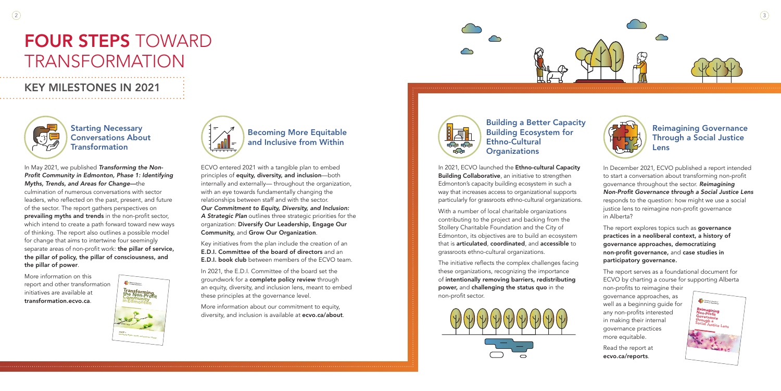



# FOUR STEPS TOWARD TRANSFORMATION

### KEY MILESTONES IN 2021



In May 2021, we published *Transforming the Non-Profit Community in Edmonton, Phase 1: Identifying Myths, Trends, and Areas for Change—*the

culmination of numerous conversations with sector leaders, who reflected on the past, present, and future of the sector. The report gathers perspectives on prevailing myths and trends in the non-profit sector, which intend to create a path forward toward new ways of thinking. The report also outlines a possible model for change that aims to intertwine four seemingly separate areas of non-profit work: the pillar of service, the pillar of policy, the pillar of consciousness, and the pillar of power.

More information on this report and other transformation initiatives are available at transformation.ecvo.ca.

More information about our commitment to equity, diversity, and inclusion is available at ecvo.ca/about.



Building a Better Capacity Building Ecosystem for Ethno-Cultural **Organizations** 

In 2021, ECVO launched the Ethno-cultural Capacity Building Collaborative, an initiative to strengthen Edmonton's capacity building ecosystem in such a way that increases access to organizational supports particularly for grassroots ethno-cultural organizations.

ECVO entered 2021 with a tangible plan to embed principles of equity, diversity, and inclusion—both internally and externally— throughout the organization, with an eye towards fundamentally changing the relationships between staff and with the sector. *Our Commitment to Equity, Diversity, and Inclusion: A Strategic Plan* outlines three strategic priorities for the organization: Diversify Our Leadership, Engage Our Community, and Grow Our Organization.

Key initiatives from the plan include the creation of an E.D.I. Committee of the board of directors and an E.D.I. book club between members of the ECVO team.

In 2021, the E.D.I. Committee of the board set the groundwork for a complete policy review through an equity, diversity, and inclusion lens, meant to embed these principles at the governance level.

The report explores topics such as governance practices in a neoliberal context, a history of governance approaches, democratizing non-profit governance, and case studies in participatory governance.

Starting Necessary Conversations About **Transformation** 

> With a number of local charitable organizations contributing to the project and backing from the Stollery Charitable Foundation and the City of Edmonton, its objectives are to build an ecosystem that is articulated, coordinated, and accessible to grassroots ethno-cultural organizations.

> The initiative reflects the complex challenges facing these organizations, recognizing the importance of intentionally removing barriers, redistributing power, and challenging the status quo in the non-profit sector.



In December 2021, ECVO published a report intended to start a conversation about transforming non-profit governance throughout the sector. *Reimagining Non-Profit Governance through a Social Justice Lens* responds to the question: how might we use a social justice lens to reimagine non-profit governance in Alberta?

The report serves as a foundational document for ECVO by charting a course for supporting Alberta

non-profits to reimagine their governance approaches, as well as a beginning guide for any non-profits interested in making their internal governance practices more equitable.

Read the report at ecvo.ca/reports.







### Becoming More Equitable and Inclusive from Within

### Reimagining Governance Through a Social Justice Lens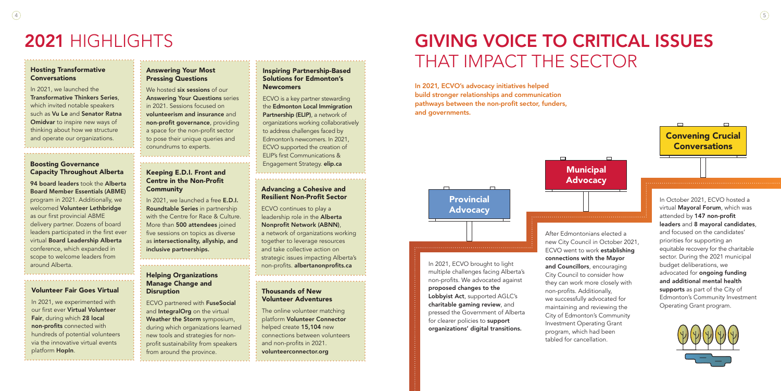#### Boosting Governance Capacity Throughout Alberta

94 board leaders took the Alberta Board Member Essentials (ABME) program in 2021. Additionally, we welcomed Volunteer Lethbridge as our first provincial ABME delivery partner. Dozens of board leaders participated in the first ever virtual Board Leadership Alberta conference, which expanded in scope to welcome leaders from around Alberta.

#### Hosting Transformative **Conversations**

#### Inspiring Partnership-Based Solutions for Edmonton's Newcomers

ECVO is a key partner stewarding the Edmonton Local Immigration Partnership (ELIP), a network of organizations working collaboratively to address challenges faced by Edmonton's newcomers. In 2021, ECVO supported the creation of ELIP's first Communications & Engagement Strategy. elip.ca

We hosted **six sessions** of our Answering Your Questions series in 2021. Sessions focused on volunteerism and insurance and non-profit governance, providing a space for the non-profit sector to pose their unique queries and conundrums to experts.

# 2021 HIGHLIGHTS

#### Keeping E.D.I. Front and Centre in the Non-Profit **Community**

In 2021, we launched the Transformative Thinkers Series, which invited notable speakers such as Vu Le and Senator Ratna Omidvar to inspire new ways of thinking about how we structure and operate our organizations.

#### Answering Your Most Pressing Questions

#### Advancing a Cohesive and Resilient Non-Profit Sector

ECVO continues to play a leadership role in the **Alberta** Nonprofit Network (ABNN), a network of organizations working together to leverage resources and take collective action on strategic issues impacting Alberta's non-profits. albertanonprofits.ca

## Provincial **Advocacy**

**Municipal** Advocacy

#### Helping Organizations Manage Change and **Disruption**

In 2021, we launched a free E.D.I. Roundtable Series in partnership with the Centre for Race & Culture. More than 500 attendees joined five sessions on topics as diverse as intersectionality, allyship, and inclusive partnerships.

#### Volunteer Fair Goes Virtual

In 2021, we experimented with our first ever Virtual Volunteer Fair, during which 28 local non-profits connected with hundreds of potential volunteers via the innovative virtual events platform HopIn.

In 2021, ECVO brought to light multiple challenges facing Alberta's non-profits. We advocated against proposed changes to the Lobbyist Act, supported AGLC's charitable gaming review, and pressed the Government of Alberta for clearer policies to support organizations' digital transitions.

After Edmontonians elected a new City Council in October 2021, ECVO went to work establishing connections with the Mayor and Councillors, encouraging City Council to consider how they can work more closely with non-profits. Additionally, we successfully advocated for maintaining and reviewing the City of Edmonton's Community Investment Operating Grant program, which had been tabled for cancellation.

In October 2021, ECVO hosted a virtual Mayoral Forum, which was attended by 147 non-profit leaders and 8 mayoral candidates, and focused on the candidates' priorities for supporting an equitable recovery for the charitable sector. During the 2021 municipal budget deliberations, we advocated for ongoing funding and additional mental health supports as part of the City of Edmonton's Community Investment Operating Grant program.





ECVO partnered with FuseSocial and **IntegralOrg** on the virtual Weather the Storm symposium, during which organizations learned new tools and strategies for nonprofit sustainability from speakers from around the province.

### Thousands of New Volunteer Adventures

The online volunteer matching platform Volunteer Connector helped create 15,104 new connections between volunteers and non-profits in 2021. volunteerconnector.org

# GIVING VOICE TO CRITICAL ISSUES THAT IMPACT THE SECTOR

In 2021, ECVO's advocacy initiatives helped build stronger relationships and communication pathways between the non-profit sector, funders, and governments.